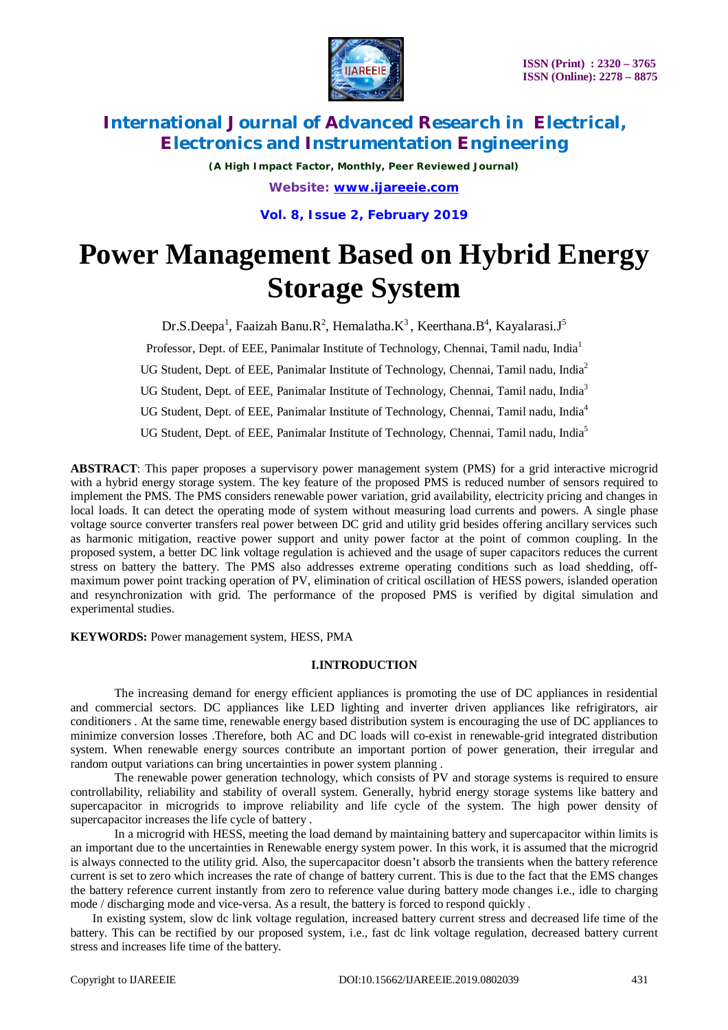

*(A High Impact Factor, Monthly, Peer Reviewed Journal)*

*Website: [www.ijareeie.com](http://www.ijareeie.com)*

**Vol. 8, Issue 2, February 2019**

# **Power Management Based on Hybrid Energy Storage System**

Dr.S.Deepa<sup>1</sup>, Faaizah Banu.R<sup>2</sup>, Hemalatha.K<sup>3</sup>, Keerthana.B<sup>4</sup>, Kayalarasi.J<sup>5</sup>

Professor, Dept. of EEE, Panimalar Institute of Technology, Chennai, Tamil nadu, India<sup>1</sup> UG Student, Dept. of EEE, Panimalar Institute of Technology, Chennai, Tamil nadu, India<sup>2</sup> UG Student, Dept. of EEE, Panimalar Institute of Technology, Chennai, Tamil nadu, India<sup>3</sup> UG Student, Dept. of EEE, Panimalar Institute of Technology, Chennai, Tamil nadu, India<sup>4</sup> UG Student, Dept. of EEE, Panimalar Institute of Technology, Chennai, Tamil nadu, India<sup>5</sup>

**ABSTRACT**: This paper proposes a supervisory power management system (PMS) for a grid interactive microgrid with a hybrid energy storage system. The key feature of the proposed PMS is reduced number of sensors required to implement the PMS. The PMS considers renewable power variation, grid availability, electricity pricing and changes in local loads. It can detect the operating mode of system without measuring load currents and powers. A single phase voltage source converter transfers real power between DC grid and utility grid besides offering ancillary services such as harmonic mitigation, reactive power support and unity power factor at the point of common coupling. In the proposed system, a better DC link voltage regulation is achieved and the usage of super capacitors reduces the current stress on battery the battery. The PMS also addresses extreme operating conditions such as load shedding, offmaximum power point tracking operation of PV, elimination of critical oscillation of HESS powers, islanded operation and resynchronization with grid. The performance of the proposed PMS is verified by digital simulation and experimental studies.

**KEYWORDS:** Power management system, HESS, PMA

## **I.INTRODUCTION**

The increasing demand for energy efficient appliances is promoting the use of DC appliances in residential and commercial sectors. DC appliances like LED lighting and inverter driven appliances like refrigirators, air conditioners . At the same time, renewable energy based distribution system is encouraging the use of DC appliances to minimize conversion losses .Therefore, both AC and DC loads will co-exist in renewable-grid integrated distribution system. When renewable energy sources contribute an important portion of power generation, their irregular and random output variations can bring uncertainties in power system planning .

The renewable power generation technology, which consists of PV and storage systems is required to ensure controllability, reliability and stability of overall system. Generally, hybrid energy storage systems like battery and supercapacitor in microgrids to improve reliability and life cycle of the system. The high power density of supercapacitor increases the life cycle of battery .

In a microgrid with HESS, meeting the load demand by maintaining battery and supercapacitor within limits is an important due to the uncertainties in Renewable energy system power. In this work, it is assumed that the microgrid is always connected to the utility grid. Also, the supercapacitor doesn't absorb the transients when the battery reference current is set to zero which increases the rate of change of battery current. This is due to the fact that the EMS changes the battery reference current instantly from zero to reference value during battery mode changes i.e., idle to charging mode / discharging mode and vice-versa. As a result, the battery is forced to respond quickly .

In existing system, slow dc link voltage regulation, increased battery current stress and decreased life time of the battery. This can be rectified by our proposed system, i.e., fast dc link voltage regulation, decreased battery current stress and increases life time of the battery.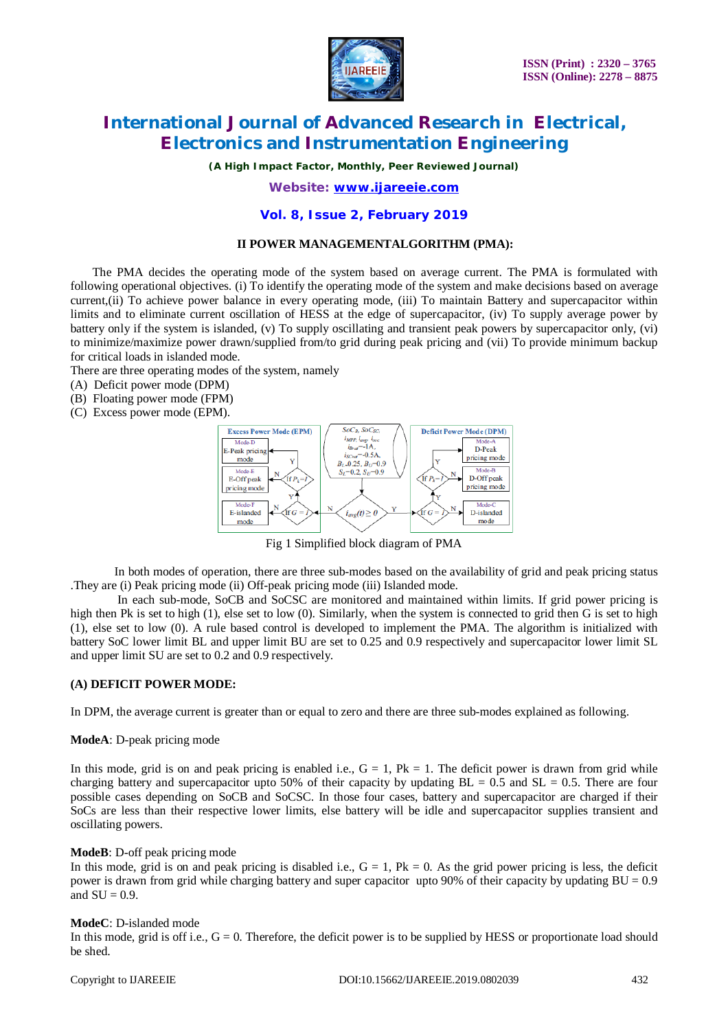

*(A High Impact Factor, Monthly, Peer Reviewed Journal)*

### *Website: [www.ijareeie.com](http://www.ijareeie.com)*

#### **Vol. 8, Issue 2, February 2019**

#### **II POWER MANAGEMENTALGORITHM (PMA):**

The PMA decides the operating mode of the system based on average current. The PMA is formulated with following operational objectives. (i) To identify the operating mode of the system and make decisions based on average current,(ii) To achieve power balance in every operating mode, (iii) To maintain Battery and supercapacitor within limits and to eliminate current oscillation of HESS at the edge of supercapacitor, (iv) To supply average power by battery only if the system is islanded, (v) To supply oscillating and transient peak powers by supercapacitor only, (vi) to minimize/maximize power drawn/supplied from/to grid during peak pricing and (vii) To provide minimum backup for critical loads in islanded mode.

There are three operating modes of the system, namely

- (A) Deficit power mode (DPM)
- (B) Floating power mode (FPM)
- (C) Excess power mode (EPM).



Fig 1 Simplified block diagram of PMA

In both modes of operation, there are three sub-modes based on the availability of grid and peak pricing status .They are (i) Peak pricing mode (ii) Off-peak pricing mode (iii) Islanded mode.

In each sub-mode, SoCB and SoCSC are monitored and maintained within limits. If grid power pricing is high then Pk is set to high (1), else set to low (0). Similarly, when the system is connected to grid then G is set to high (1), else set to low (0). A rule based control is developed to implement the PMA. The algorithm is initialized with battery SoC lower limit BL and upper limit BU are set to 0.25 and 0.9 respectively and supercapacitor lower limit SL and upper limit SU are set to 0.2 and 0.9 respectively.

### **(A) DEFICIT POWER MODE:**

In DPM, the average current is greater than or equal to zero and there are three sub-modes explained as following.

#### **ModeA**: D-peak pricing mode

In this mode, grid is on and peak pricing is enabled i.e.,  $G = 1$ ,  $Pk = 1$ . The deficit power is drawn from grid while charging battery and supercapacitor upto 50% of their capacity by updating  $BL = 0.5$  and  $SL = 0.5$ . There are four possible cases depending on SoCB and SoCSC. In those four cases, battery and supercapacitor are charged if their SoCs are less than their respective lower limits, else battery will be idle and supercapacitor supplies transient and oscillating powers.

#### **ModeB**: D-off peak pricing mode

In this mode, grid is on and peak pricing is disabled i.e.,  $G = 1$ ,  $Pk = 0$ . As the grid power pricing is less, the deficit power is drawn from grid while charging battery and super capacitor upto 90% of their capacity by updating  $BU = 0.9$ and  $SU = 0.9$ .

#### **ModeC**: D-islanded mode

In this mode, grid is off i.e.,  $G = 0$ . Therefore, the deficit power is to be supplied by HESS or proportionate load should be shed.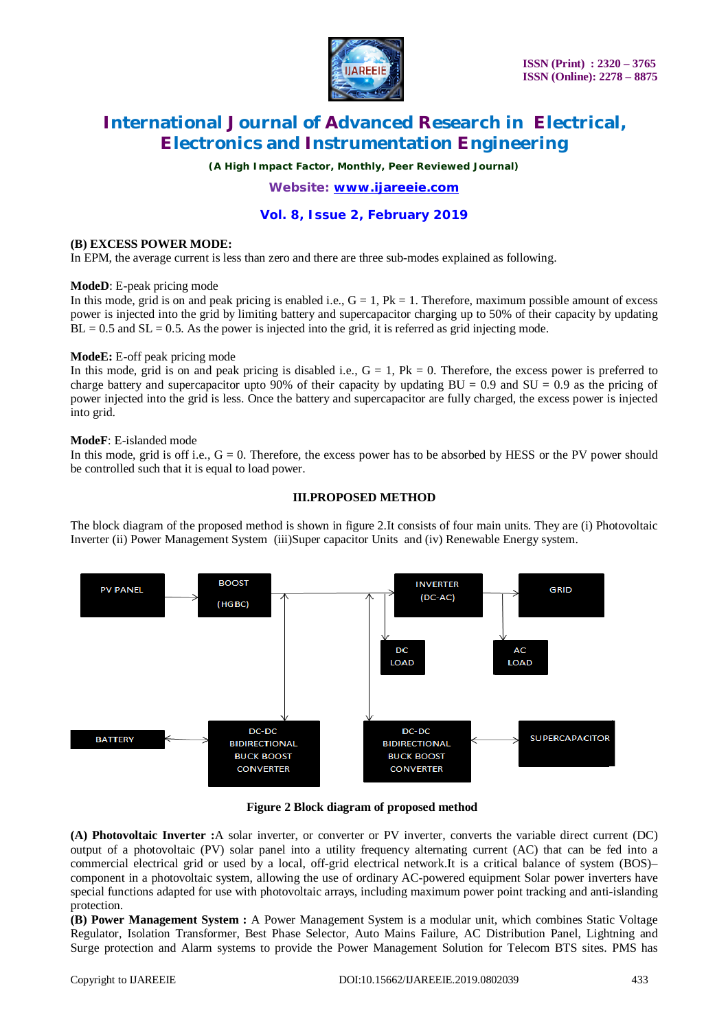

*(A High Impact Factor, Monthly, Peer Reviewed Journal)*

*Website: [www.ijareeie.com](http://www.ijareeie.com)*

# **Vol. 8, Issue 2, February 2019**

#### **(B) EXCESS POWER MODE:**

In EPM, the average current is less than zero and there are three sub-modes explained as following.

#### **ModeD**: E-peak pricing mode

In this mode, grid is on and peak pricing is enabled i.e.,  $G = 1$ ,  $Pk = 1$ . Therefore, maximum possible amount of excess power is injected into the grid by limiting battery and supercapacitor charging up to 50% of their capacity by updating  $BL = 0.5$  and  $SL = 0.5$ . As the power is injected into the grid, it is referred as grid injecting mode.

### **ModeE:** E-off peak pricing mode

In this mode, grid is on and peak pricing is disabled i.e.,  $G = 1$ ,  $Pk = 0$ . Therefore, the excess power is preferred to charge battery and supercapacitor upto 90% of their capacity by updating  $BU = 0.9$  and  $SU = 0.9$  as the pricing of power injected into the grid is less. Once the battery and supercapacitor are fully charged, the excess power is injected into grid.

#### **ModeF**: E-islanded mode

In this mode, grid is off i.e.,  $G = 0$ . Therefore, the excess power has to be absorbed by HESS or the PV power should be controlled such that it is equal to load power.

#### **III.PROPOSED METHOD**

The block diagram of the proposed method is shown in figure 2.It consists of four main units. They are (i) Photovoltaic Inverter (ii) Power Management System (iii)Super capacitor Units and (iv) Renewable Energy system.



### **Figure 2 Block diagram of proposed method**

**(A) Photovoltaic Inverter :**A solar inverter, or converter or PV inverter, converts the variable direct current (DC) output of a photovoltaic (PV) solar panel into a utility frequency alternating current (AC) that can be fed into a commercial electrical grid or used by a local, off-grid electrical network.It is a critical balance of system (BOS)– component in a photovoltaic system, allowing the use of ordinary AC-powered equipment Solar power inverters have special functions adapted for use with photovoltaic arrays, including maximum power point tracking and anti-islanding protection.

**(B) Power Management System :** A Power Management System is a modular unit, which combines Static Voltage Regulator, Isolation Transformer, Best Phase Selector, Auto Mains Failure, AC Distribution Panel, Lightning and Surge protection and Alarm systems to provide the Power Management Solution for Telecom BTS sites. PMS has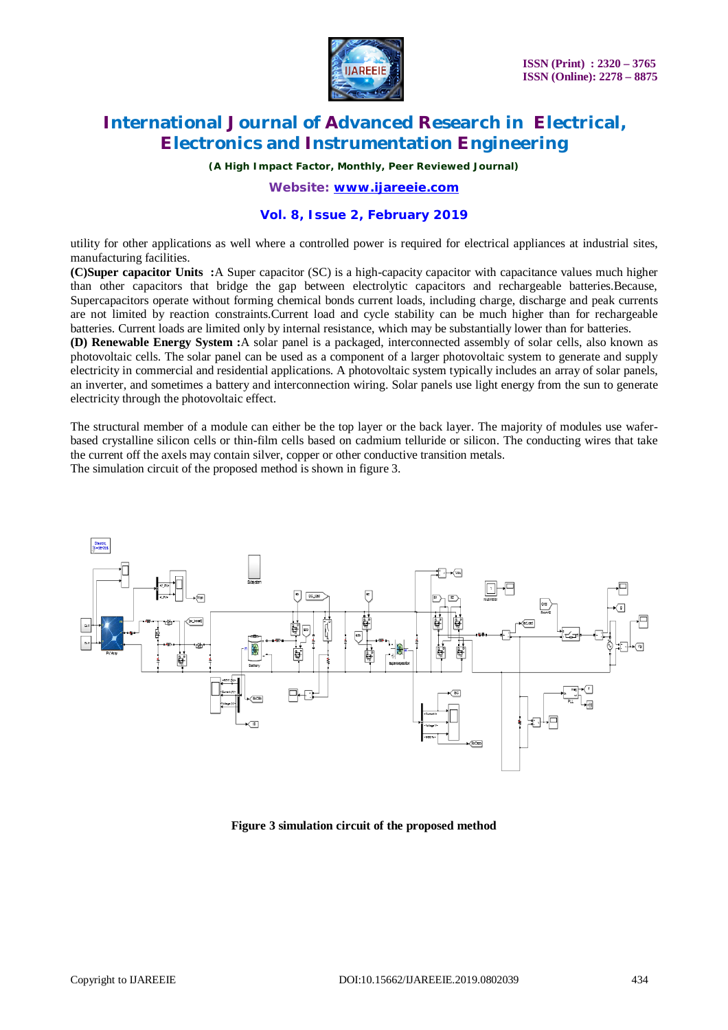

*(A High Impact Factor, Monthly, Peer Reviewed Journal)*

*Website: [www.ijareeie.com](http://www.ijareeie.com)*

### **Vol. 8, Issue 2, February 2019**

utility for other applications as well where a controlled power is required for electrical appliances at industrial sites, manufacturing facilities.

**(C)Super capacitor Units :**A Super capacitor (SC) is a high-capacity capacitor with capacitance values much higher than other capacitors that bridge the gap between electrolytic capacitors and rechargeable batteries.Because, Supercapacitors operate without forming chemical bonds current loads, including charge, discharge and peak currents are not limited by reaction constraints.Current load and cycle stability can be much higher than for rechargeable batteries. Current loads are limited only by internal resistance, which may be substantially lower than for batteries.

**(D) Renewable Energy System :**A solar panel is a packaged, interconnected assembly of solar cells, also known as photovoltaic cells. The solar panel can be used as a component of a larger photovoltaic system to generate and supply electricity in commercial and residential applications. A photovoltaic system typically includes an array of solar panels, an inverter, and sometimes a battery and interconnection wiring. Solar panels use light energy from the sun to generate electricity through the photovoltaic effect.

The structural member of a module can either be the top layer or the back layer. The majority of modules use waferbased crystalline silicon cells or thin-film cells based on cadmium telluride or silicon. The conducting wires that take the current off the axels may contain silver, copper or other conductive transition metals.

The simulation circuit of the proposed method is shown in figure 3.



**Figure 3 simulation circuit of the proposed method**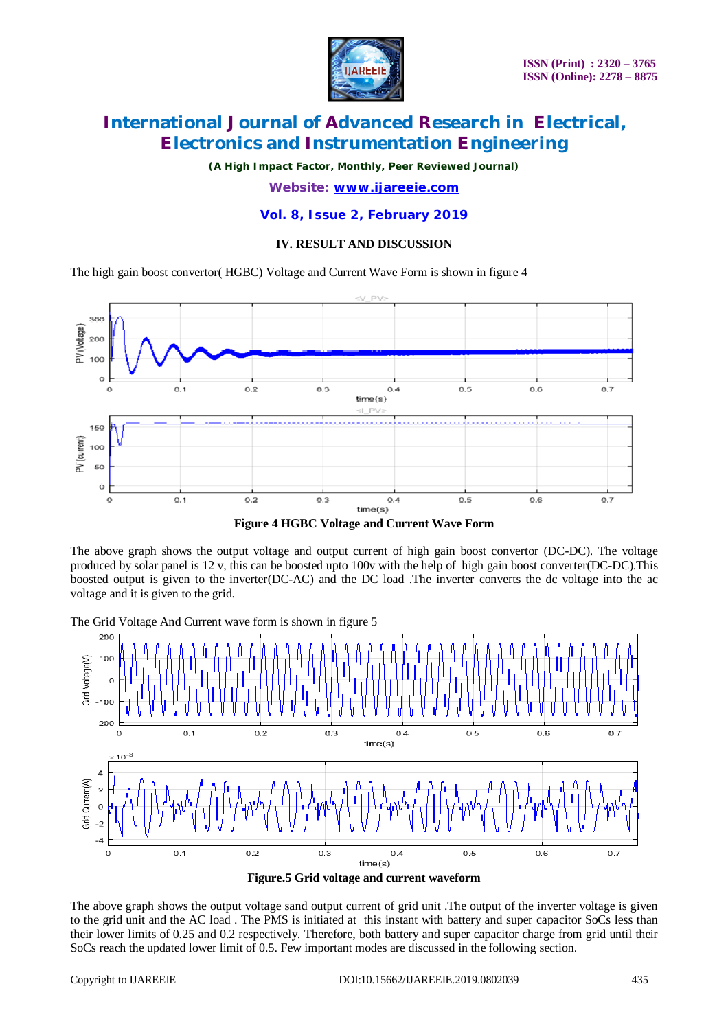

*(A High Impact Factor, Monthly, Peer Reviewed Journal)*

*Website: [www.ijareeie.com](http://www.ijareeie.com)*

**Vol. 8, Issue 2, February 2019**

### **IV. RESULT AND DISCUSSION**

The high gain boost convertor( HGBC) Voltage and Current Wave Form is shown in figure 4



**Figure 4 HGBC Voltage and Current Wave Form**

The above graph shows the output voltage and output current of high gain boost convertor (DC-DC). The voltage produced by solar panel is 12 v, this can be boosted upto 100v with the help of high gain boost converter(DC-DC).This boosted output is given to the inverter(DC-AC) and the DC load .The inverter converts the dc voltage into the ac voltage and it is given to the grid.

The Grid Voltage And Current wave form is shown in figure 5



**Figure.5 Grid voltage and current waveform**

The above graph shows the output voltage sand output current of grid unit .The output of the inverter voltage is given to the grid unit and the AC load . The PMS is initiated at this instant with battery and super capacitor SoCs less than their lower limits of 0.25 and 0.2 respectively. Therefore, both battery and super capacitor charge from grid until their SoCs reach the updated lower limit of 0.5. Few important modes are discussed in the following section.